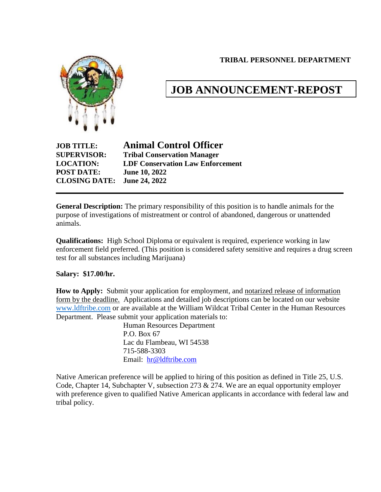**TRIBAL PERSONNEL DEPARTMENT**



# **JOB ANNOUNCEMENT-REPOST**

**POST DATE: June 10, 2022 CLOSING DATE: June 24, 2022**

**JOB TITLE: Animal Control Officer SUPERVISOR: Tribal Conservation Manager LOCATION: LDF Conservation Law Enforcement**

**General Description:** The primary responsibility of this position is to handle animals for the purpose of investigations of mistreatment or control of abandoned, dangerous or unattended animals.

**Qualifications:** High School Diploma or equivalent is required, experience working in law enforcement field preferred. (This position is considered safety sensitive and requires a drug screen test for all substances including Marijuana)

### **Salary: \$17.00/hr.**

**How to Apply:** Submit your application for employment, and notarized release of information form by the deadline. Applications and detailed job descriptions can be located on our website [www.ldftribe.com](http://www.ldftribe.com/) or are available at the William Wildcat Tribal Center in the Human Resources Department. Please submit your application materials to:

Human Resources Department P.O. Box 67 Lac du Flambeau, WI 54538 715-588-3303 Email: [hr@ldftribe.com](mailto:hr@ldftribe.com)

Native American preference will be applied to hiring of this position as defined in Title 25, U.S. Code, Chapter 14, Subchapter V, subsection 273 & 274. We are an equal opportunity employer with preference given to qualified Native American applicants in accordance with federal law and tribal policy.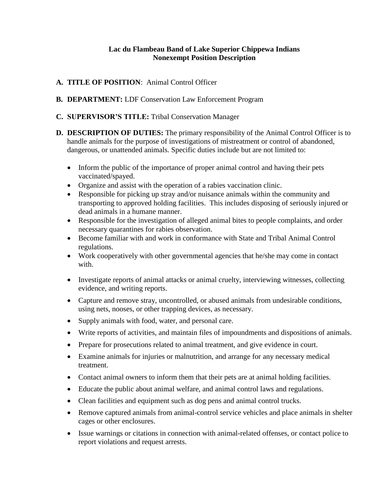#### **Lac du Flambeau Band of Lake Superior Chippewa Indians Nonexempt Position Description**

- **A. TITLE OF POSITION**: Animal Control Officer
- **B. DEPARTMENT:** LDF Conservation Law Enforcement Program
- **C. SUPERVISOR'S TITLE:** Tribal Conservation Manager
- **D. DESCRIPTION OF DUTIES:** The primary responsibility of the Animal Control Officer is to handle animals for the purpose of investigations of mistreatment or control of abandoned, dangerous, or unattended animals. Specific duties include but are not limited to:
	- Inform the public of the importance of proper animal control and having their pets vaccinated/spayed.
	- Organize and assist with the operation of a rabies vaccination clinic.
	- Responsible for picking up stray and/or nuisance animals within the community and transporting to approved holding facilities. This includes disposing of seriously injured or dead animals in a humane manner.
	- Responsible for the investigation of alleged animal bites to people complaints, and order necessary quarantines for rabies observation.
	- Become familiar with and work in conformance with State and Tribal Animal Control regulations.
	- Work cooperatively with other governmental agencies that he/she may come in contact with.
	- Investigate reports of animal attacks or animal cruelty, interviewing witnesses, collecting evidence, and writing reports.
	- Capture and remove stray, uncontrolled, or abused animals from undesirable conditions, using nets, nooses, or other trapping devices, as necessary.
	- Supply animals with food, water, and personal care.
	- Write reports of activities, and maintain files of impoundments and dispositions of animals.
	- Prepare for prosecutions related to animal treatment, and give evidence in court.
	- Examine animals for injuries or malnutrition, and arrange for any necessary medical treatment.
	- Contact animal owners to inform them that their pets are at animal holding facilities.
	- Educate the public about animal welfare, and animal control laws and regulations.
	- Clean facilities and equipment such as dog pens and animal control trucks.
	- Remove captured animals from animal-control service vehicles and place animals in shelter cages or other enclosures.
	- Issue warnings or citations in connection with animal-related offenses, or contact police to report violations and request arrests.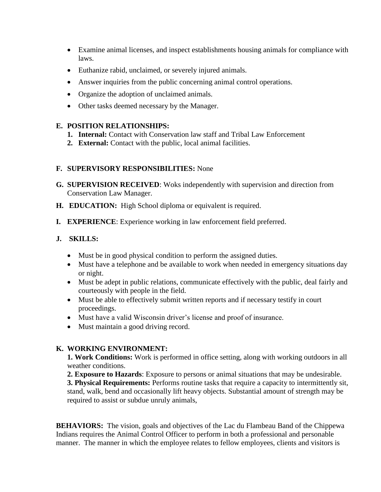- Examine animal licenses, and inspect establishments housing animals for compliance with laws.
- Euthanize rabid, unclaimed, or severely injured animals.
- Answer inquiries from the public concerning animal control operations.
- Organize the adoption of unclaimed animals.
- Other tasks deemed necessary by the Manager.

### **E. POSITION RELATIONSHIPS:**

- **1. Internal:** Contact with Conservation law staff and Tribal Law Enforcement
- **2. External:** Contact with the public, local animal facilities.

## **F. SUPERVISORY RESPONSIBILITIES:** None

- **G. SUPERVISION RECEIVED**: Woks independently with supervision and direction from Conservation Law Manager.
- **H. EDUCATION:** High School diploma or equivalent is required.
- **I. EXPERIENCE**: Experience working in law enforcement field preferred.

# **J. SKILLS:**

- Must be in good physical condition to perform the assigned duties.
- Must have a telephone and be available to work when needed in emergency situations day or night.
- Must be adept in public relations, communicate effectively with the public, deal fairly and courteously with people in the field.
- Must be able to effectively submit written reports and if necessary testify in court proceedings.
- Must have a valid Wisconsin driver's license and proof of insurance.
- Must maintain a good driving record.

# **K. WORKING ENVIRONMENT:**

**1. Work Conditions:** Work is performed in office setting, along with working outdoors in all weather conditions.

**2. Exposure to Hazards**: Exposure to persons or animal situations that may be undesirable.

**3. Physical Requirements:** Performs routine tasks that require a capacity to intermittently sit, stand, walk, bend and occasionally lift heavy objects. Substantial amount of strength may be required to assist or subdue unruly animals,

**BEHAVIORS:** The vision, goals and objectives of the Lac du Flambeau Band of the Chippewa Indians requires the Animal Control Officer to perform in both a professional and personable manner. The manner in which the employee relates to fellow employees, clients and visitors is